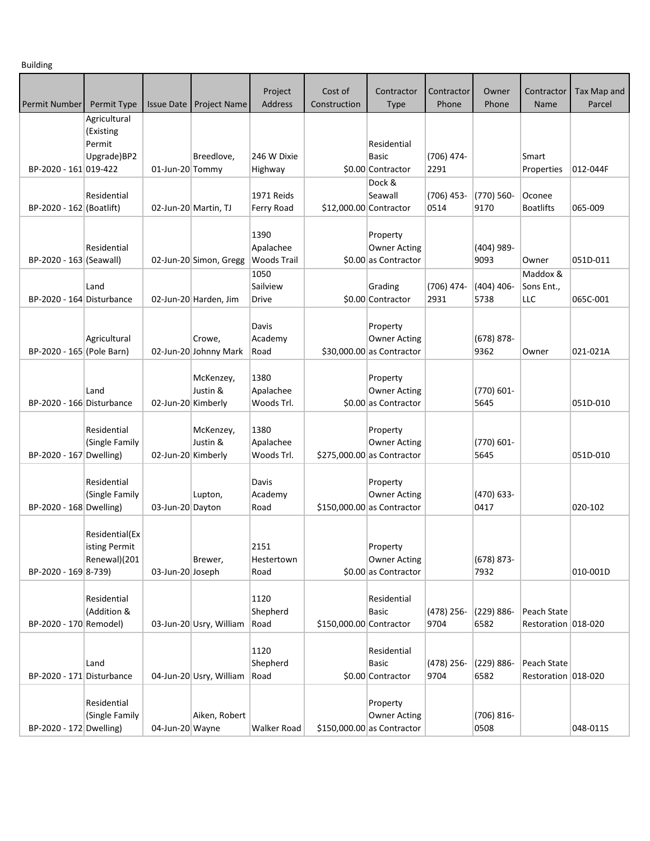Building

|                           |                                                    |                    |                                 | Project                                 | Cost of                 | Contractor                                                    | Contractor           | Owner                 | Contractor                         | Tax Map and |
|---------------------------|----------------------------------------------------|--------------------|---------------------------------|-----------------------------------------|-------------------------|---------------------------------------------------------------|----------------------|-----------------------|------------------------------------|-------------|
| Permit Number             | Permit Type                                        | <b>Issue Date</b>  | <b>Project Name</b>             | Address                                 | Construction            | Type                                                          | Phone                | Phone                 | Name                               | Parcel      |
|                           | Agricultural<br>(Existing<br>Permit<br>Upgrade)BP2 |                    | Breedlove,                      | 246 W Dixie                             |                         | Residential<br><b>Basic</b>                                   | (706) 474-           |                       | Smart                              |             |
| BP-2020 - 161 019-422     |                                                    | 01-Jun-20 Tommy    |                                 | Highway                                 |                         | \$0.00 Contractor                                             | 2291                 |                       | Properties                         | 012-044F    |
| BP-2020 - 162 (Boatlift)  | Residential                                        |                    | 02-Jun-20 Martin, TJ            | 1971 Reids<br>Ferry Road                |                         | Dock &<br>Seawall<br>\$12,000.00 Contractor                   | $(706)$ 453-<br>0514 | (770) 560-<br>9170    | Oconee<br><b>Boatlifts</b>         | 065-009     |
| BP-2020 - 163 (Seawall)   | Residential                                        |                    | 02-Jun-20 Simon, Gregg          | 1390<br>Apalachee<br><b>Woods Trail</b> |                         | Property<br><b>Owner Acting</b><br>\$0.00 as Contractor       |                      | (404) 989-<br>9093    | Owner                              | 051D-011    |
| BP-2020 - 164 Disturbance | Land                                               |                    | 02-Jun-20 Harden, Jim           | 1050<br>Sailview<br>Drive               |                         | Grading<br>\$0.00 Contractor                                  | (706) 474-<br>2931   | $(404)$ 406-<br>5738  | Maddox &<br>Sons Ent.,<br>LLC      | 065C-001    |
| BP-2020 - 165 (Pole Barn) | Agricultural                                       |                    | Crowe,<br>02-Jun-20 Johnny Mark | Davis<br>Academy<br>Road                |                         | Property<br><b>Owner Acting</b><br>$$30,000.00$ as Contractor |                      | (678) 878-<br>9362    | Owner                              | 021-021A    |
| BP-2020 - 166 Disturbance | Land                                               | 02-Jun-20 Kimberly | McKenzey,<br>Justin &           | 1380<br>Apalachee<br>Woods Trl.         |                         | Property<br><b>Owner Acting</b><br>\$0.00 as Contractor       |                      | $(770) 601 -$<br>5645 |                                    | 051D-010    |
| BP-2020 - 167 Dwelling)   | Residential<br>(Single Family                      | 02-Jun-20 Kimberly | McKenzey,<br>Justin &           | 1380<br>Apalachee<br>Woods Trl.         |                         | Property<br><b>Owner Acting</b><br>\$275,000.00 as Contractor |                      | $(770) 601 -$<br>5645 |                                    | 051D-010    |
| BP-2020 - 168 Dwelling)   | Residential<br>(Single Family                      | 03-Jun-20 Dayton   | Lupton,                         | Davis<br>Academy<br>Road                |                         | Property<br><b>Owner Acting</b><br>\$150,000.00 as Contractor |                      | (470) 633-<br>0417    |                                    | 020-102     |
| BP-2020 - 169 8-739)      | Residential(Ex<br>isting Permit<br>Renewal)(201    | 03-Jun-20 Joseph   | Brewer,                         | 2151<br>Hestertown<br>Road              |                         | Property<br><b>Owner Acting</b><br>\$0.00 as Contractor       |                      | $(678) 873 -$<br>7932 |                                    | 010-001D    |
| BP-2020 - 170 Remodel)    | Residential<br>(Addition &                         |                    | 03-Jun-20 Usry, William         | 1120<br>Shepherd<br>Road                | \$150,000.00 Contractor | Residential<br><b>Basic</b>                                   | $(478)$ 256-<br>9704 | (229) 886-<br>6582    | Peach State<br>Restoration 018-020 |             |
| BP-2020 - 171 Disturbance | Land                                               |                    | 04-Jun-20 Usry, William         | 1120<br>Shepherd<br>Road                |                         | Residential<br><b>Basic</b><br>\$0.00 Contractor              | (478) 256-<br>9704   | $(229) 886 -$<br>6582 | Peach State<br>Restoration 018-020 |             |
| BP-2020 - 172 Dwelling)   | Residential<br>(Single Family                      | 04-Jun-20 Wayne    | Aiken, Robert                   | <b>Walker Road</b>                      |                         | Property<br><b>Owner Acting</b><br>\$150,000.00 as Contractor |                      | $(706) 816 -$<br>0508 |                                    | 048-011S    |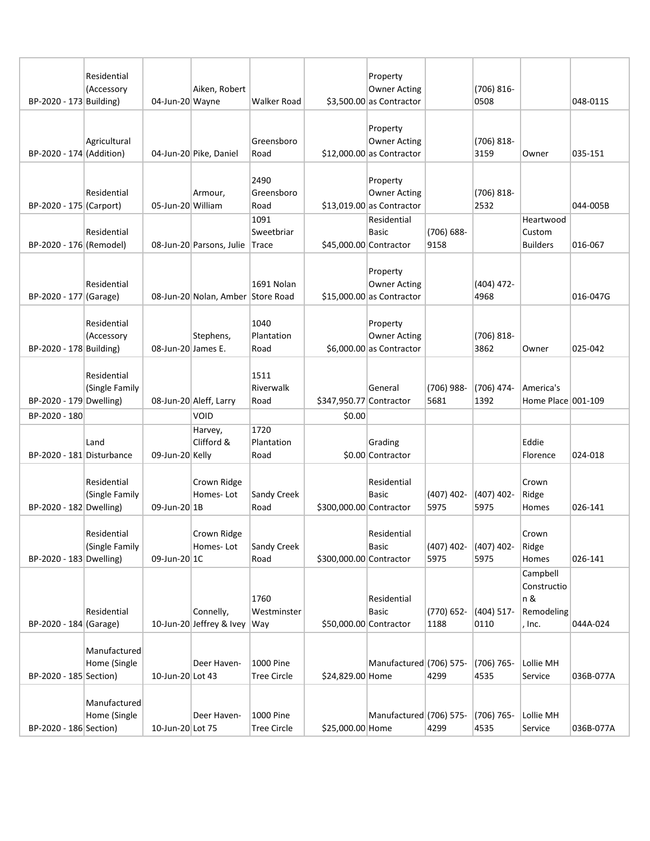|                           | Residential<br>(Accessory     |                    | Aiken, Robert                         |                                 |                         | Property<br><b>Owner Acting</b>                               |                      | (706) 816-            |                                                        |           |
|---------------------------|-------------------------------|--------------------|---------------------------------------|---------------------------------|-------------------------|---------------------------------------------------------------|----------------------|-----------------------|--------------------------------------------------------|-----------|
| BP-2020 - 173 Building)   |                               | 04-Jun-20 Wayne    |                                       | <b>Walker Road</b>              |                         | $$3,500.00$ as Contractor                                     |                      | 0508                  |                                                        | 048-011S  |
| BP-2020 - 174 (Addition)  | Agricultural                  |                    | 04-Jun-20 Pike, Daniel                | Greensboro<br>Road              |                         | Property<br><b>Owner Acting</b><br>$$12,000.00$ as Contractor |                      | $(706) 818 -$<br>3159 | Owner                                                  | 035-151   |
| BP-2020 - 175 (Carport)   | Residential                   | 05-Jun-20 William  | Armour,                               | 2490<br>Greensboro<br>Road      |                         | Property<br><b>Owner Acting</b><br>$$13,019.00$ as Contractor |                      | (706) 818-<br>2532    |                                                        | 044-005B  |
| BP-2020 - 176 (Remodel)   | Residential                   |                    | 08-Jun-20 Parsons, Julie              | 1091<br>Sweetbriar<br>Trace     | \$45,000.00 Contractor  | Residential<br><b>Basic</b>                                   | (706) 688-<br>9158   |                       | Heartwood<br>Custom<br><b>Builders</b>                 | 016-067   |
| BP-2020 - 177 (Garage)    | Residential                   |                    | 08-Jun-20 Nolan, Amber Store Road     | 1691 Nolan                      |                         | Property<br><b>Owner Acting</b><br>$$15,000.00$ as Contractor |                      | $(404)$ 472-<br>4968  |                                                        | 016-047G  |
| BP-2020 - 178 Building)   | Residential<br>(Accessory     | 08-Jun-20 James E. | Stephens,                             | 1040<br>Plantation<br>Road      |                         | Property<br><b>Owner Acting</b><br>$$6,000.00$ as Contractor  |                      | $(706) 818 -$<br>3862 | Owner                                                  | 025-042   |
| BP-2020 - 179 Dwelling)   | Residential<br>(Single Family |                    | 08-Jun-20 Aleff, Larry                | 1511<br>Riverwalk<br>Road       | \$347,950.77 Contractor | General                                                       | (706) 988-<br>5681   | (706) 474-<br>1392    | America's<br>Home Place 001-109                        |           |
| BP-2020 - 180             |                               |                    | VOID                                  |                                 | \$0.00                  |                                                               |                      |                       |                                                        |           |
| BP-2020 - 181 Disturbance | Land                          | 09-Jun-20 Kelly    | Harvey,<br>Clifford &                 | 1720<br>Plantation<br>Road      |                         | Grading<br>\$0.00 Contractor                                  |                      |                       | Eddie<br>Florence                                      | 024-018   |
| BP-2020 - 182 Dwelling)   | Residential<br>(Single Family | 09-Jun-20 1B       | Crown Ridge<br>Homes-Lot              | Sandy Creek<br>Road             | \$300,000.00 Contractor | Residential<br><b>Basic</b>                                   | $(407)$ 402-<br>5975 | $(407)$ 402-<br>5975  | Crown<br>Ridge<br>Homes                                | 026-141   |
| BP-2020 - 183 Dwelling)   | Residential<br>(Single Family | 09-Jun-20 1C       | Crown Ridge<br>Homes-Lot              | <b>Sandy Creek</b><br>Road      | \$300,000.00 Contractor | Residential<br>Basic                                          | $(407)$ 402-<br>5975 | $(407)$ 402-<br>5975  | Crown<br>Ridge<br>Homes                                | 026-141   |
| BP-2020 - 184 (Garage)    | Residential                   |                    | Connelly,<br>10-Jun-20 Jeffrey & Ivey | 1760<br>Westminster<br>Way      | \$50,000.00 Contractor  | Residential<br><b>Basic</b>                                   | $(770)$ 652-<br>1188 | $(404)$ 517-<br>0110  | Campbell<br>Constructio<br>n &<br>Remodeling<br>, Inc. | 044A-024  |
| BP-2020 - 185 Section)    | Manufactured<br>Home (Single  | 10-Jun-20 Lot 43   | Deer Haven-                           | 1000 Pine<br><b>Tree Circle</b> | \$24,829.00 Home        | Manufactured (706) 575-                                       | 4299                 | $(706) 765 -$<br>4535 | Lollie MH<br>Service                                   | 036B-077A |
| BP-2020 - 186 Section)    | Manufactured<br>Home (Single  | 10-Jun-20 Lot 75   | Deer Haven-                           | 1000 Pine<br><b>Tree Circle</b> | \$25,000.00 Home        | Manufactured (706) 575-                                       | 4299                 | $(706) 765 -$<br>4535 | Lollie MH<br>Service                                   | 036B-077A |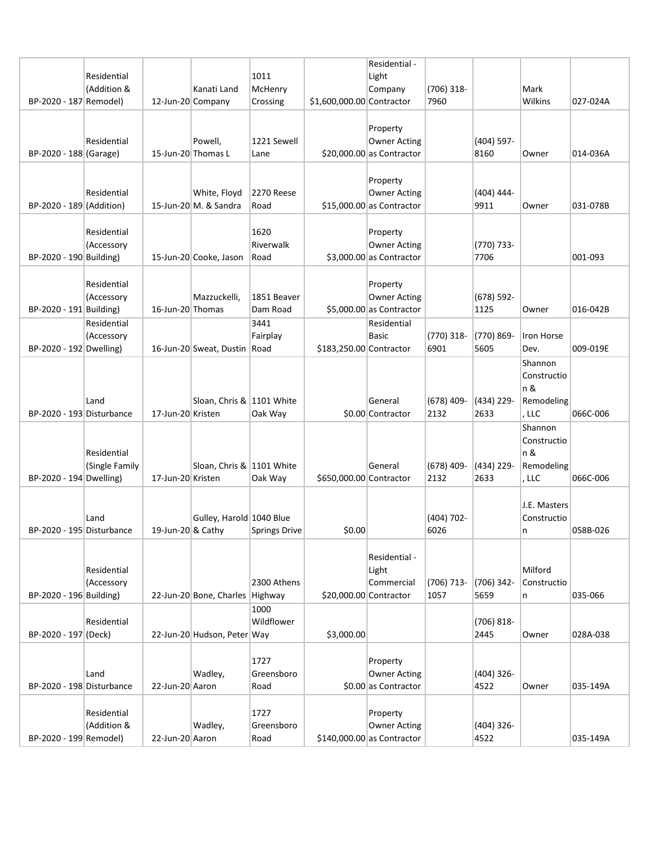|                           | Residential<br>(Addition &    |                    | Kanati Land                           | 1011<br>McHenry            |                           | Residential -<br>Light<br>Company                              | (706) 318-           |                      | Mark                                                 |          |
|---------------------------|-------------------------------|--------------------|---------------------------------------|----------------------------|---------------------------|----------------------------------------------------------------|----------------------|----------------------|------------------------------------------------------|----------|
| BP-2020 - 187 Remodel)    |                               | 12-Jun-20 Company  |                                       | Crossing                   | \$1,600,000.00 Contractor |                                                                | 7960                 |                      | Wilkins                                              | 027-024A |
| BP-2020 - 188 (Garage)    | Residential                   | 15-Jun-20 Thomas L | Powell,                               | 1221 Sewell<br>Lane        |                           | Property<br><b>Owner Acting</b><br>$$20,000.00$ as Contractor  |                      | $(404)$ 597-<br>8160 | Owner                                                | 014-036A |
| BP-2020 - 189 (Addition)  | Residential                   |                    | White, Floyd<br>15-Jun-20 M. & Sandra | 2270 Reese<br>Road         |                           | Property<br><b>Owner Acting</b><br>$$15,000.00$ as Contractor  |                      | $(404)$ 444-<br>9911 | Owner                                                | 031-078B |
| BP-2020 - 190 Building)   | Residential<br>(Accessory     |                    | 15-Jun-20 Cooke, Jason                | 1620<br>Riverwalk<br>Road  |                           | Property<br><b>Owner Acting</b><br>$$3,000.00$ as Contractor   |                      | (770) 733-<br>7706   |                                                      | 001-093  |
| BP-2020 - 191 Building)   | Residential<br>(Accessory     | 16-Jun-20 Thomas   | Mazzuckelli,                          | 1851 Beaver<br>Dam Road    |                           | Property<br><b>Owner Acting</b><br>$$5,000.00$ as Contractor   |                      | $(678)$ 592-<br>1125 | Owner                                                | 016-042B |
| BP-2020 - 192 Dwelling)   | Residential<br>(Accessory     |                    | 16-Jun-20 Sweat, Dustin Road          | 3441<br>Fairplay           | \$183,250.00 Contractor   | Residential<br><b>Basic</b>                                    | (770) 318-<br>6901   | (770) 869-<br>5605   | Iron Horse<br>Dev.                                   | 009-019E |
| BP-2020 - 193 Disturbance | Land                          | 17-Jun-20 Kristen  | Sloan, Chris & 1101 White             | Oak Way                    |                           | General<br>\$0.00 Contractor                                   | $(678)$ 409-<br>2132 | (434) 229-<br>2633   | Shannon<br>Constructio<br>n &<br>Remodeling<br>, LLC | 066C-006 |
| BP-2020 - 194 Dwelling)   | Residential<br>(Single Family | 17-Jun-20 Kristen  | Sloan, Chris & 1101 White             | Oak Way                    | \$650,000.00 Contractor   | General                                                        | $(678)$ 409-<br>2132 | (434) 229-<br>2633   | Shannon<br>Constructio<br>n &<br>Remodeling<br>, LLC | 066C-006 |
| BP-2020 - 195 Disturbance | Land                          | 19-Jun-20 & Cathy  | Gulley, Harold 1040 Blue              | <b>Springs Drive</b>       | \$0.00                    |                                                                | (404) 702-<br>6026   |                      | J.E. Masters<br>Constructio<br>n.                    | 058B-026 |
| BP-2020 - 196 Building)   | Residential<br>(Accessory     |                    | 22-Jun-20 Bone, Charles Highway       | 2300 Athens                |                           | Residential -<br>Light<br>Commercial<br>\$20,000.00 Contractor | $(706)$ 713-<br>1057 | $(706)$ 342-<br>5659 | Milford<br>Constructio<br>n                          | 035-066  |
| BP-2020 - 197 (Deck)      | Residential                   |                    | 22-Jun-20 Hudson, Peter Way           | 1000<br>Wildflower         | \$3,000.00                |                                                                |                      | $(706)$ 818-<br>2445 | Owner                                                | 028A-038 |
| BP-2020 - 198 Disturbance | Land                          | 22-Jun-20 Aaron    | Wadley,                               | 1727<br>Greensboro<br>Road |                           | Property<br><b>Owner Acting</b><br>\$0.00 as Contractor        |                      | $(404)$ 326-<br>4522 | Owner                                                | 035-149A |
| BP-2020 - 199 Remodel)    | Residential<br>(Addition &    | 22-Jun-20 Aaron    | Wadley,                               | 1727<br>Greensboro<br>Road |                           | Property<br><b>Owner Acting</b><br>$$140,000.00$ as Contractor |                      | $(404)$ 326-<br>4522 |                                                      | 035-149A |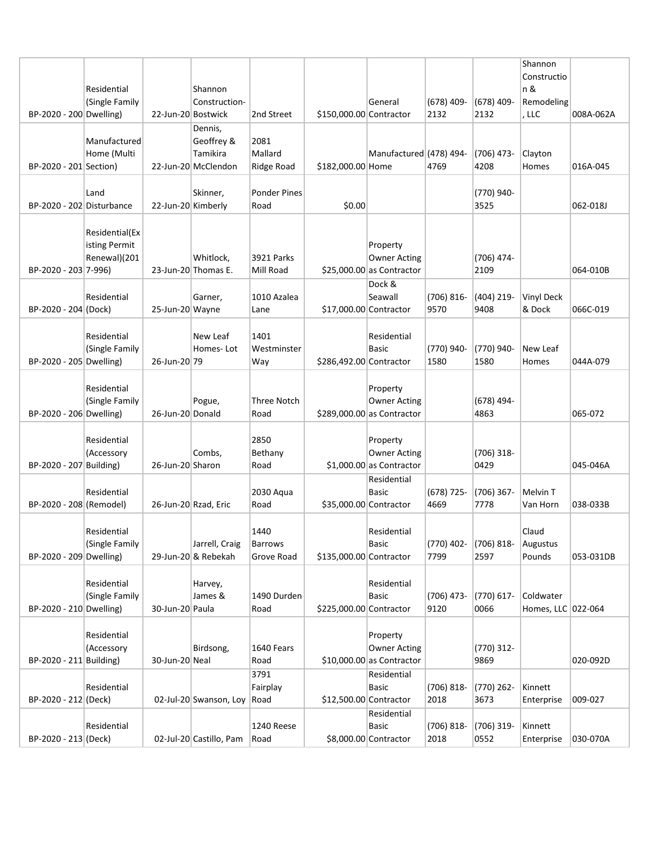|                           |                               |                    |                         |                            |                         |                                                    |                      |                      | Shannon             |           |
|---------------------------|-------------------------------|--------------------|-------------------------|----------------------------|-------------------------|----------------------------------------------------|----------------------|----------------------|---------------------|-----------|
|                           |                               |                    |                         |                            |                         |                                                    |                      |                      | Constructio         |           |
|                           | Residential                   |                    | Shannon                 |                            |                         | General                                            |                      | $(678)$ 409-         | n &                 |           |
| BP-2020 - 200 Dwelling)   | (Single Family                | 22-Jun-20 Bostwick | Construction-           | 2nd Street                 | \$150,000.00 Contractor |                                                    | $(678)$ 409-<br>2132 | 2132                 | Remodeling<br>, LLC | 008A-062A |
|                           |                               |                    | Dennis,                 |                            |                         |                                                    |                      |                      |                     |           |
|                           | Manufactured                  |                    | Geoffrey &              | 2081                       |                         |                                                    |                      |                      |                     |           |
|                           | Home (Multi                   |                    | Tamikira                | Mallard                    |                         | Manufactured (478) 494-                            |                      | $(706)$ 473-         | Clayton             |           |
| BP-2020 - 201 Section)    |                               |                    | 22-Jun-20 McClendon     | Ridge Road                 | \$182,000.00 Home       |                                                    | 4769                 | 4208                 | Homes               | 016A-045  |
|                           |                               |                    |                         |                            |                         |                                                    |                      |                      |                     |           |
|                           | Land                          |                    | Skinner,                | <b>Ponder Pines</b>        |                         |                                                    |                      | (770) 940-           |                     |           |
| BP-2020 - 202 Disturbance |                               | 22-Jun-20 Kimberly |                         | Road                       | \$0.00                  |                                                    |                      | 3525                 |                     | 062-018J  |
|                           |                               |                    |                         |                            |                         |                                                    |                      |                      |                     |           |
|                           | Residential(Ex                |                    |                         |                            |                         |                                                    |                      |                      |                     |           |
|                           | isting Permit<br>Renewal)(201 |                    | Whitlock,               | <b>3921 Parks</b>          |                         | Property<br><b>Owner Acting</b>                    |                      | (706) 474-           |                     |           |
| BP-2020 - 203 7-996)      |                               |                    | 23-Jun-20 Thomas E.     | Mill Road                  |                         | $$25,000.00$ as Contractor                         |                      | 2109                 |                     | 064-010B  |
|                           |                               |                    |                         |                            |                         | Dock &                                             |                      |                      |                     |           |
|                           | Residential                   |                    | Garner,                 | 1010 Azalea                |                         | Seawall                                            | $(706) 816 -$        | $(404)$ 219-         | <b>Vinyl Deck</b>   |           |
| BP-2020 - 204 (Dock)      |                               | 25-Jun-20 Wayne    |                         | Lane                       | \$17,000.00 Contractor  |                                                    | 9570                 | 9408                 | & Dock              | 066C-019  |
|                           |                               |                    |                         |                            |                         |                                                    |                      |                      |                     |           |
|                           | Residential                   |                    | New Leaf                | 1401                       |                         | Residential                                        |                      |                      |                     |           |
|                           | (Single Family                |                    | Homes-Lot               | Westminster                |                         | <b>Basic</b>                                       | (770) 940-           | (770) 940-           | New Leaf            |           |
| BP-2020 - 205 Dwelling)   |                               | 26-Jun-20 79       |                         | Way                        | \$286,492.00 Contractor |                                                    | 1580                 | 1580                 | Homes               | 044A-079  |
|                           |                               |                    |                         |                            |                         |                                                    |                      |                      |                     |           |
|                           | Residential                   |                    |                         |                            |                         | Property                                           |                      |                      |                     |           |
| BP-2020 - 206 Dwelling)   | (Single Family                | 26-Jun-20 Donald   | Pogue,                  | <b>Three Notch</b><br>Road |                         | <b>Owner Acting</b><br>$$289,000.00$ as Contractor |                      | $(678)$ 494-<br>4863 |                     | 065-072   |
|                           |                               |                    |                         |                            |                         |                                                    |                      |                      |                     |           |
|                           | Residential                   |                    |                         | 2850                       |                         | Property                                           |                      |                      |                     |           |
|                           | (Accessory                    |                    | Combs,                  | Bethany                    |                         | <b>Owner Acting</b>                                |                      | $(706)$ 318-         |                     |           |
| BP-2020 - 207 Building)   |                               | 26-Jun-20 Sharon   |                         | Road                       |                         | $$1,000.00$ as Contractor                          |                      | 0429                 |                     | 045-046A  |
|                           |                               |                    |                         |                            |                         | Residential                                        |                      |                      |                     |           |
|                           | Residential                   |                    |                         | 2030 Aqua                  |                         | <b>Basic</b>                                       | $(678) 725 -$        | $(706)$ 367-         | Melvin T            |           |
| BP-2020 - 208 (Remodel)   |                               |                    | 26-Jun-20 Rzad, Eric    | Road                       |                         | \$35,000.00 Contractor                             | 4669                 | 7778                 | Van Horn            | 038-033B  |
|                           |                               |                    |                         |                            |                         |                                                    |                      |                      |                     |           |
|                           | Residential                   |                    |                         | 1440                       |                         | Residential                                        |                      |                      | Claud               |           |
| BP-2020 - 209 Dwelling)   | (Single Family                |                    | Jarrell, Craig          | Barrows                    |                         | Basic                                              | (770) 402-<br>7799   | (706) 818-<br>2597   | Augustus            |           |
|                           |                               |                    | 29-Jun-20 & Rebekah     | Grove Road                 | \$135,000.00 Contractor |                                                    |                      |                      | Pounds              | 053-031DB |
|                           | Residential                   |                    | Harvey,                 |                            |                         | Residential                                        |                      |                      |                     |           |
|                           | (Single Family                |                    | James &                 | 1490 Durden                |                         | <b>Basic</b>                                       | (706) 473-           | $(770) 617 -$        | Coldwater           |           |
| BP-2020 - 210 Dwelling)   |                               | 30-Jun-20 Paula    |                         | Road                       | \$225,000.00 Contractor |                                                    | 9120                 | 0066                 | Homes, LLC 022-064  |           |
|                           |                               |                    |                         |                            |                         |                                                    |                      |                      |                     |           |
|                           | Residential                   |                    |                         |                            |                         | Property                                           |                      |                      |                     |           |
|                           | (Accessory                    |                    | Birdsong,               | 1640 Fears                 |                         | Owner Acting                                       |                      | (770) 312-           |                     |           |
| BP-2020 - 211 Building)   |                               | 30-Jun-20 Neal     |                         | Road                       |                         | $$10,000.00$ as Contractor                         |                      | 9869                 |                     | 020-092D  |
|                           |                               |                    |                         | 3791                       |                         | Residential                                        |                      |                      |                     |           |
|                           | Residential                   |                    |                         | Fairplay                   |                         | <b>Basic</b>                                       | $(706) 818 -$        | (770) 262-           | Kinnett             |           |
| BP-2020 - 212 (Deck)      |                               |                    | 02-Jul-20 Swanson, Loy  | Road                       | \$12,500.00 Contractor  |                                                    | 2018                 | 3673                 | Enterprise          | 009-027   |
|                           | Residential                   |                    |                         | 1240 Reese                 |                         | Residential<br><b>Basic</b>                        | $(706) 818 -$        | (706) 319-           | Kinnett             |           |
| BP-2020 - 213 (Deck)      |                               |                    | 02-Jul-20 Castillo, Pam | Road                       |                         | \$8,000.00 Contractor                              | 2018                 | 0552                 | Enterprise          | 030-070A  |
|                           |                               |                    |                         |                            |                         |                                                    |                      |                      |                     |           |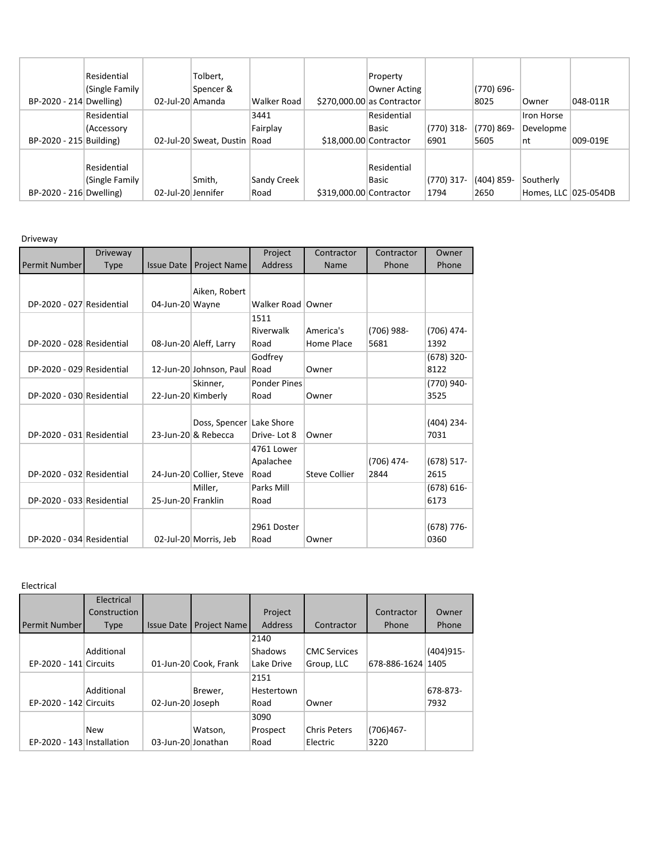|                         | Residential    |                    | Tolbert,                     |             |                         | Property                    |              |               |                      |          |
|-------------------------|----------------|--------------------|------------------------------|-------------|-------------------------|-----------------------------|--------------|---------------|----------------------|----------|
|                         | (Single Family |                    | Spencer &                    |             |                         | Owner Acting                |              | (770) 696-    |                      |          |
| BP-2020 - 214 Dwelling) |                | 02-Jul-20 Amanda   |                              | Walker Road |                         | $$270,000.00$ as Contractor |              | 8025          | Owner                | 048-011R |
|                         | Residential    |                    |                              | 3441        |                         | Residential                 |              |               | Iron Horse           |          |
|                         | (Accessory     |                    |                              | Fairplay    |                         | Basic                       | $(770)$ 318- | $(770) 869 -$ | Developme            |          |
| BP-2020 - 215 Building) |                |                    | 02-Jul-20 Sweat, Dustin Road |             | \$18,000.00 Contractor  |                             | 6901         | 5605          | nt                   | 009-019E |
|                         |                |                    |                              |             |                         |                             |              |               |                      |          |
|                         | Residential    |                    |                              |             |                         | Residential                 |              |               |                      |          |
|                         | (Single Family |                    | Smith,                       | Sandy Creek |                         | <b>Basic</b>                | $(770)$ 317- | $(404)$ 859-  | Southerly            |          |
| BP-2020 - 216 Dwelling) |                | 02-Jul-20 Jennifer |                              | Road        | \$319,000.00 Contractor |                             | 1794         | 2650          | Homes, LLC 025-054DB |          |

Driveway

|                           | Driveway    |                    |                          | Project             | Contractor           | Contractor | Owner         |
|---------------------------|-------------|--------------------|--------------------------|---------------------|----------------------|------------|---------------|
| Permit Number             | <b>Type</b> | <b>Issue Date</b>  | Project Name             | <b>Address</b>      | Name                 | Phone      | Phone         |
|                           |             |                    |                          |                     |                      |            |               |
|                           |             |                    | Aiken, Robert            |                     |                      |            |               |
| DP-2020 - 027 Residential |             | 04-Jun-20 Wayne    |                          | Walker Road   Owner |                      |            |               |
|                           |             |                    |                          | 1511                |                      |            |               |
|                           |             |                    |                          | Riverwalk           | America's            | (706) 988- | $(706)$ 474-  |
| DP-2020 - 028 Residential |             |                    | 08-Jun-20 Aleff, Larry   | Road                | Home Place           | 5681       | 1392          |
|                           |             |                    |                          | Godfrey             |                      |            | $(678)$ 320-  |
| DP-2020 - 029 Residential |             |                    | 12-Jun-20 Johnson, Paul  | Road                | Owner                |            | 8122          |
|                           |             |                    | Skinner,                 | <b>Ponder Pines</b> |                      |            | (770) 940-    |
| DP-2020 - 030 Residential |             | 22-Jun-20 Kimberly |                          | Road                | Owner                |            | 3525          |
|                           |             |                    |                          |                     |                      |            |               |
|                           |             |                    | Doss, Spencer            | Lake Shore          |                      |            | (404) 234-    |
| DP-2020 - 031 Residential |             |                    | 23-Jun-20 & Rebecca      | Drive-Lot 8         | Owner                |            | 7031          |
|                           |             |                    |                          | 4761 Lower          |                      |            |               |
|                           |             |                    |                          | Apalachee           |                      | (706) 474- | $(678)$ 517-  |
| DP-2020 - 032 Residential |             |                    | 24-Jun-20 Collier, Steve | Road                | <b>Steve Collier</b> | 2844       | 2615          |
|                           |             |                    | Miller.                  | Parks Mill          |                      |            | $(678) 616 -$ |
| DP-2020 - 033 Residential |             | 25-Jun-20 Franklin |                          | Road                |                      |            | 6173          |
|                           |             |                    |                          |                     |                      |            |               |
|                           |             |                    |                          | 2961 Doster         |                      |            | $(678)$ 776-  |
| DP-2020 - 034 Residential |             |                    | 02-Jul-20 Morris, Jeb    | Road                | Owner                |            | 0360          |

Electrical

|                            | Electrical   |                    |                       |                |                     |                   |             |
|----------------------------|--------------|--------------------|-----------------------|----------------|---------------------|-------------------|-------------|
|                            | Construction |                    |                       | Project        |                     | Contractor        | Owner       |
| Permit Number              | <b>Type</b>  | <b>Issue Date</b>  | <b>Project Name</b>   | <b>Address</b> | Contractor          | Phone             | Phone       |
|                            |              |                    |                       | 2140           |                     |                   |             |
|                            | Additional   |                    |                       | <b>Shadows</b> | <b>CMC Services</b> |                   | $(404)915-$ |
| EP-2020 - 141 Circuits     |              |                    | 01-Jun-20 Cook, Frank | Lake Drive     | Group, LLC          | 678-886-1624 1405 |             |
|                            |              |                    |                       | 2151           |                     |                   |             |
|                            | Additional   |                    | Brewer,               | Hestertown     |                     |                   | 678-873-    |
| EP-2020 - 142 Circuits     |              | 02-Jun-20 Joseph   |                       | Road           | Owner               |                   | 7932        |
|                            |              |                    |                       | 3090           |                     |                   |             |
|                            | <b>New</b>   |                    | Watson,               | Prospect       | <b>Chris Peters</b> | $(706)467 -$      |             |
| EP-2020 - 143 Installation |              | 03-Jun-20 Jonathan |                       | Road           | Electric            | 3220              |             |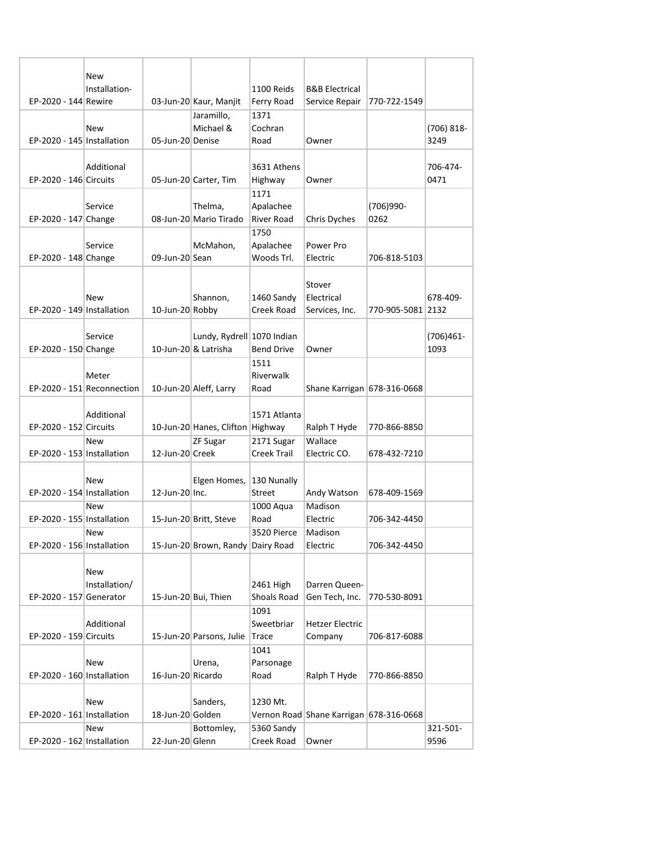|                            | New<br>Installation-       |                   |                                   | 1100 Reids         | <b>B&amp;B Electrical</b>               |                   |               |
|----------------------------|----------------------------|-------------------|-----------------------------------|--------------------|-----------------------------------------|-------------------|---------------|
| EP-2020 - 144 Rewire       |                            |                   | 03-Jun-20 Kaur, Manjit            | Ferry Road         | Service Repair                          | 770-722-1549      |               |
|                            |                            |                   | Jaramillo,                        | 1371               |                                         |                   |               |
|                            | New                        |                   | Michael &                         | Cochran            |                                         |                   | $(706) 818 -$ |
| EP-2020 - 145 Installation |                            | 05-Jun-20 Denise  |                                   | Road               | Owner                                   |                   | 3249          |
|                            |                            |                   |                                   |                    |                                         |                   |               |
|                            | Additional                 |                   |                                   | 3631 Athens        |                                         |                   | 706-474-      |
| EP-2020 - 146 Circuits     |                            |                   | 05-Jun-20 Carter, Tim             | Highway            | Owner                                   |                   | 0471          |
|                            |                            |                   |                                   | 1171               |                                         |                   |               |
|                            | Service                    |                   | Thelma,                           | Apalachee          |                                         | (706)990-         |               |
| EP-2020 - 147 Change       |                            |                   | 08-Jun-20 Mario Tirado            | River Road         |                                         | 0262              |               |
|                            |                            |                   |                                   |                    | Chris Dyches                            |                   |               |
|                            |                            |                   |                                   | 1750               |                                         |                   |               |
|                            | Service                    |                   | McMahon,                          | Apalachee          | Power Pro                               |                   |               |
| EP-2020 - 148 Change       |                            | 09-Jun-20 Sean    |                                   | Woods Trl.         | Electric                                | 706-818-5103      |               |
|                            |                            |                   |                                   |                    |                                         |                   |               |
|                            |                            |                   |                                   |                    | Stover                                  |                   |               |
|                            | New                        |                   | Shannon,                          | 1460 Sandy         | Electrical                              |                   | 678-409-      |
| EP-2020 - 149 Installation |                            | 10-Jun-20 Robby   |                                   | Creek Road         | Services, Inc.                          | 770-905-5081 2132 |               |
|                            |                            |                   |                                   |                    |                                         |                   |               |
|                            |                            |                   |                                   |                    |                                         |                   |               |
|                            | Service                    |                   | Lundy, Rydrell 1070 Indian        |                    |                                         |                   | $(706)461 -$  |
| EP-2020 - 150 Change       |                            |                   | 10-Jun-20 & Latrisha              | <b>Bend Drive</b>  | Owner                                   |                   | 1093          |
|                            |                            |                   |                                   | 1511               |                                         |                   |               |
|                            | Meter                      |                   |                                   | Riverwalk          |                                         |                   |               |
|                            | EP-2020 - 151 Reconnection |                   | 10-Jun-20 Aleff, Larry            | Road               | Shane Karrigan 678-316-0668             |                   |               |
|                            |                            |                   |                                   |                    |                                         |                   |               |
|                            | Additional                 |                   |                                   | 1571 Atlanta       |                                         |                   |               |
| EP-2020 - 152 Circuits     |                            |                   | 10-Jun-20 Hanes, Clifton Highway  |                    | Ralph T Hyde                            | 770-866-8850      |               |
|                            | <b>New</b>                 |                   | ZF Sugar                          | 2171 Sugar         | Wallace                                 |                   |               |
| EP-2020 - 153 Installation |                            | 12-Jun-20 Creek   |                                   | <b>Creek Trail</b> | Electric CO.                            | 678-432-7210      |               |
|                            |                            |                   |                                   |                    |                                         |                   |               |
|                            |                            |                   |                                   |                    |                                         |                   |               |
|                            | New                        |                   | Elgen Homes,                      | 130 Nunally        |                                         |                   |               |
| EP-2020 - 154 Installation |                            | 12-Jun-20 Inc.    |                                   | Street             | Andy Watson                             | 678-409-1569      |               |
|                            | <b>New</b>                 |                   |                                   | 1000 Aqua          | Madison                                 |                   |               |
| EP-2020 - 155 Installation |                            |                   | 15-Jun-20 Britt, Steve            | Road               | Electric                                | 706-342-4450      |               |
|                            | New                        |                   |                                   | 3520 Pierce        | Madison                                 |                   |               |
| EP-2020 - 156 Installation |                            |                   | 15-Jun-20 Brown, Randy Dairy Road |                    | Electric                                | 706-342-4450      |               |
|                            |                            |                   |                                   |                    |                                         |                   |               |
|                            | New                        |                   |                                   |                    |                                         |                   |               |
|                            | Installation/              |                   |                                   | 2461 High          | Darren Queen-                           |                   |               |
| EP-2020 - 157 Generator    |                            |                   | 15-Jun-20 Bui, Thien              | Shoals Road        | Gen Tech, Inc.                          | 770-530-8091      |               |
|                            |                            |                   |                                   | 1091               |                                         |                   |               |
|                            | Additional                 |                   |                                   | Sweetbriar         | <b>Hetzer Electric</b>                  |                   |               |
|                            |                            |                   |                                   |                    |                                         |                   |               |
| EP-2020 - 159 Circuits     |                            |                   | 15-Jun-20 Parsons, Julie          | Trace              | Company                                 | 706-817-6088      |               |
|                            |                            |                   |                                   | 1041               |                                         |                   |               |
|                            | New                        |                   | Urena,                            | Parsonage          |                                         |                   |               |
| EP-2020 - 160 Installation |                            | 16-Jun-20 Ricardo |                                   | Road               | Ralph T Hyde                            | 770-866-8850      |               |
|                            |                            |                   |                                   |                    |                                         |                   |               |
|                            | New                        |                   | Sanders,                          | 1230 Mt.           |                                         |                   |               |
| EP-2020 - 161 Installation |                            | 18-Jun-20 Golden  |                                   |                    | Vernon Road Shane Karrigan 678-316-0668 |                   |               |
|                            | New                        |                   | Bottomley,                        | 5360 Sandy         |                                         |                   | 321-501-      |
| EP-2020 - 162 Installation |                            | 22-Jun-20 Glenn   |                                   | Creek Road         | Owner                                   |                   | 9596          |
|                            |                            |                   |                                   |                    |                                         |                   |               |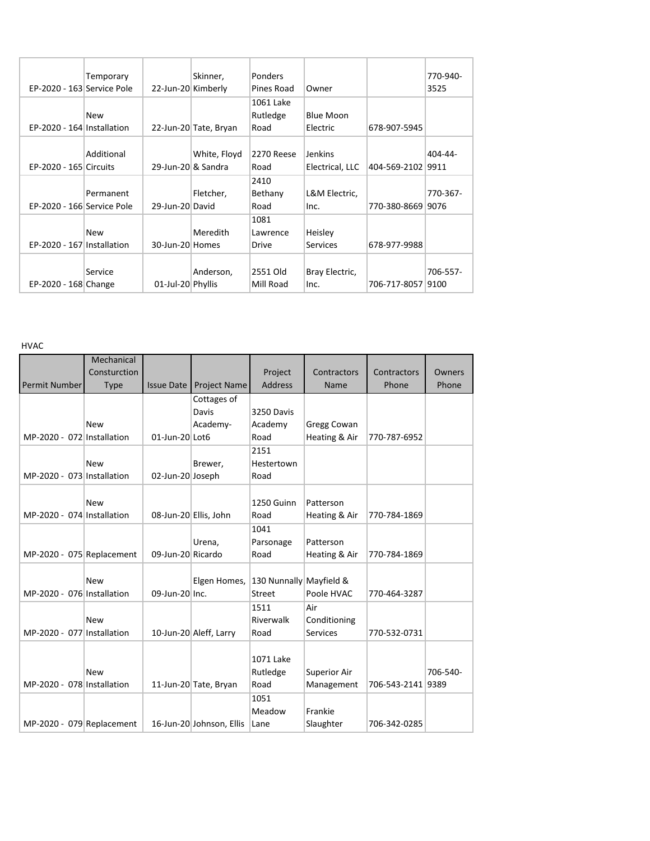| EP-2020 - 163 Service Pole | Temporary  | 22-Jun-20 Kimberly | Skinner,              | Ponders<br>Pines Road         | Owner                             |                   | 770-940-<br>3525 |
|----------------------------|------------|--------------------|-----------------------|-------------------------------|-----------------------------------|-------------------|------------------|
| EP-2020 - 164 Installation | <b>New</b> |                    | 22-Jun-20 Tate, Bryan | 1061 Lake<br>Rutledge<br>Road | <b>Blue Moon</b><br>Electric      | 678-907-5945      |                  |
| EP-2020 - 165 Circuits     | Additional | 29-Jun-20 & Sandra | White, Floyd          | 2270 Reese<br>Road            | <b>Jenkins</b><br>Electrical, LLC | 404-569-2102 9911 | 404-44-          |
| EP-2020 - 166 Service Pole | Permanent  | 29-Jun-20 David    | Fletcher,             | 2410<br>Bethany<br>Road       | L&M Electric,<br>Inc.             | 770-380-8669 9076 | 770-367-         |
| EP-2020 - 167 Installation | <b>New</b> | 30-Jun-20 Homes    | Meredith              | 1081<br>Lawrence<br>Drive     | Heisley<br><b>Services</b>        | 678-977-9988      |                  |
| EP-2020 - 168 Change       | Service    | 01-Jul-20 Phyllis  | Anderson,             | 2551 Old<br>Mill Road         | Bray Electric,<br>Inc.            | 706-717-8057 9100 | 706-557-         |

HVAC

|                            | Mechanical   |                   |                          |                         |                 |                   |          |
|----------------------------|--------------|-------------------|--------------------------|-------------------------|-----------------|-------------------|----------|
|                            | Consturction |                   |                          | Project                 | Contractors     | Contractors       | Owners   |
| Permit Number              | <b>Type</b>  | <b>Issue Date</b> | Project Name             | <b>Address</b>          | Name            | Phone             | Phone    |
|                            |              |                   | Cottages of              |                         |                 |                   |          |
|                            |              |                   | Davis                    | 3250 Davis              |                 |                   |          |
|                            | <b>New</b>   |                   | Academy-                 | Academy                 | Gregg Cowan     |                   |          |
| MP-2020 - 072 Installation |              | 01-Jun-20 Lot6    |                          | Road                    | Heating & Air   | 770-787-6952      |          |
|                            |              |                   |                          | 2151                    |                 |                   |          |
|                            | <b>New</b>   |                   | Brewer,                  | Hestertown              |                 |                   |          |
| MP-2020 - 073 Installation |              | 02-Jun-20 Joseph  |                          | Road                    |                 |                   |          |
|                            |              |                   |                          |                         |                 |                   |          |
|                            | <b>New</b>   |                   |                          | 1250 Guinn              | Patterson       |                   |          |
| MP-2020 - 074 Installation |              |                   | 08-Jun-20 Ellis, John    | Road                    | Heating & Air   | 770-784-1869      |          |
|                            |              |                   |                          | 1041                    |                 |                   |          |
|                            |              |                   | Urena,                   | Parsonage               | Patterson       |                   |          |
| MP-2020 - 075 Replacement  |              | 09-Jun-20 Ricardo |                          | Road                    | Heating & Air   | 770-784-1869      |          |
|                            |              |                   |                          |                         |                 |                   |          |
|                            | <b>New</b>   |                   | Elgen Homes,             | 130 Nunnally Mayfield & |                 |                   |          |
| MP-2020 - 076 Installation |              | 09-Jun-20 Inc.    |                          | <b>Street</b>           | Poole HVAC      | 770-464-3287      |          |
|                            |              |                   |                          | 1511                    | Air             |                   |          |
|                            | <b>New</b>   |                   |                          | Riverwalk               | Conditioning    |                   |          |
| MP-2020 - 077 Installation |              |                   | 10-Jun-20 Aleff, Larry   | Road                    | <b>Services</b> | 770-532-0731      |          |
|                            |              |                   |                          |                         |                 |                   |          |
|                            |              |                   |                          | 1071 Lake               |                 |                   |          |
|                            | <b>New</b>   |                   |                          | Rutledge                | Superior Air    |                   | 706-540- |
| MP-2020 - 078 Installation |              |                   | 11-Jun-20 Tate, Bryan    | Road                    | Management      | 706-543-2141 9389 |          |
|                            |              |                   |                          | 1051                    |                 |                   |          |
|                            |              |                   |                          | Meadow                  | Frankie         |                   |          |
| MP-2020 - 079 Replacement  |              |                   | 16-Jun-20 Johnson, Ellis | Lane                    | Slaughter       | 706-342-0285      |          |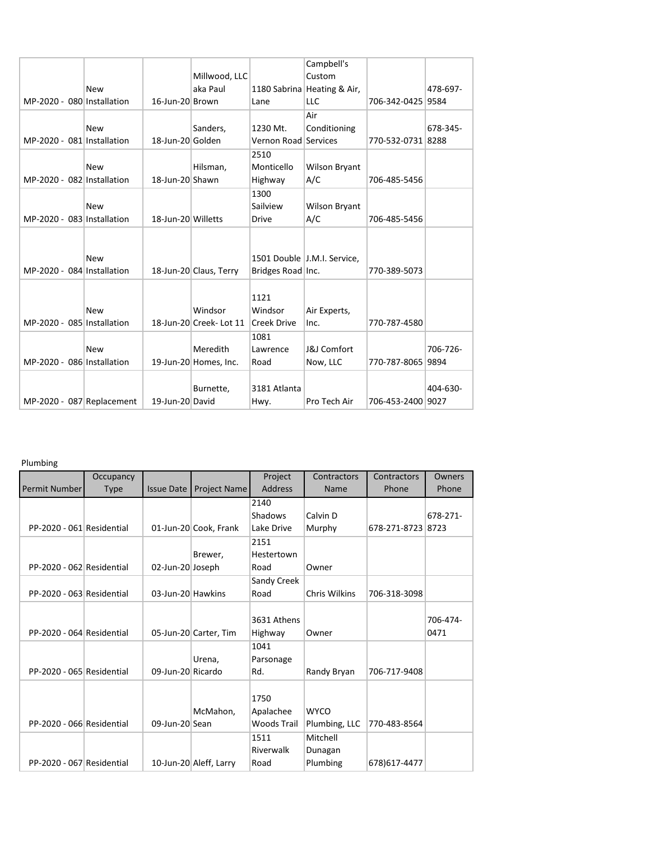|  |                            |                    |                         |                      | Campbell's                  |                   |          |
|--|----------------------------|--------------------|-------------------------|----------------------|-----------------------------|-------------------|----------|
|  |                            |                    | Millwood, LLC           |                      | Custom                      |                   |          |
|  | <b>New</b>                 |                    | aka Paul                |                      | 1180 Sabrina Heating & Air, |                   | 478-697- |
|  | MP-2020 - 080 Installation | 16-Jun-20 Brown    |                         | Lane                 | <b>LLC</b>                  | 706-342-0425 9584 |          |
|  |                            |                    |                         |                      | Air                         |                   |          |
|  | <b>New</b>                 |                    | Sanders,                | 1230 Mt.             | Conditioning                |                   | 678-345- |
|  | MP-2020 - 081 Installation | 18-Jun-20 Golden   |                         | Vernon Road Services |                             | 770-532-0731 8288 |          |
|  |                            |                    |                         | 2510                 |                             |                   |          |
|  | <b>New</b>                 |                    | Hilsman,                | Monticello           | <b>Wilson Bryant</b>        |                   |          |
|  | MP-2020 - 082 Installation | 18-Jun-20 Shawn    |                         | Highway              | A/C                         | 706-485-5456      |          |
|  |                            |                    |                         | 1300                 |                             |                   |          |
|  | <b>New</b>                 |                    |                         | Sailview             | <b>Wilson Bryant</b>        |                   |          |
|  | MP-2020 - 083 Installation | 18-Jun-20 Willetts |                         | <b>Drive</b>         | A/C                         | 706-485-5456      |          |
|  |                            |                    |                         |                      |                             |                   |          |
|  |                            |                    |                         |                      |                             |                   |          |
|  | <b>New</b>                 |                    |                         |                      | 1501 Double J.M.I. Service, |                   |          |
|  | MP-2020 - 084 Installation |                    | 18-Jun-20 Claus, Terry  | Bridges Road Inc.    |                             | 770-389-5073      |          |
|  |                            |                    |                         |                      |                             |                   |          |
|  |                            |                    |                         | 1121                 |                             |                   |          |
|  | <b>New</b>                 |                    | Windsor                 | Windsor              | Air Experts,                |                   |          |
|  | MP-2020 - 085 Installation |                    | 18-Jun-20 Creek- Lot 11 | Creek Drive          | Inc.                        | 770-787-4580      |          |
|  |                            |                    |                         | 1081                 |                             |                   |          |
|  | <b>New</b>                 |                    | Meredith                | Lawrence             | <b>J&amp;J Comfort</b>      |                   | 706-726- |
|  | MP-2020 - 086 Installation |                    | 19-Jun-20 Homes, Inc.   | Road                 | Now, LLC                    | 770-787-8065 9894 |          |
|  |                            |                    |                         |                      |                             |                   |          |
|  |                            |                    | Burnette,               | 3181 Atlanta         |                             |                   | 404-630- |
|  | MP-2020 - 087 Replacement  | 19-Jun-20 David    |                         | Hwy.                 | Pro Tech Air                | 706-453-2400 9027 |          |
|  |                            |                    |                         |                      |                             |                   |          |

Plumbing

|                           |             |                   |                        |                    | Contractors          | Contractors       |          |
|---------------------------|-------------|-------------------|------------------------|--------------------|----------------------|-------------------|----------|
|                           | Occupancy   |                   |                        | Project            |                      |                   | Owners   |
| Permit Number             | <b>Type</b> | <b>Issue Date</b> | <b>Project Name</b>    | <b>Address</b>     | Name                 | Phone             | Phone    |
|                           |             |                   |                        | 2140               |                      |                   |          |
|                           |             |                   |                        | Shadows            | Calvin D             |                   | 678-271- |
| PP-2020 - 061 Residential |             |                   | 01-Jun-20 Cook, Frank  | Lake Drive         | Murphy               | 678-271-8723 8723 |          |
|                           |             |                   |                        | 2151               |                      |                   |          |
|                           |             |                   | Brewer,                | Hestertown         |                      |                   |          |
| PP-2020 - 062 Residential |             | 02-Jun-20 Joseph  |                        | Road               | Owner                |                   |          |
|                           |             |                   |                        | Sandy Creek        |                      |                   |          |
| PP-2020 - 063 Residential |             | 03-Jun-20 Hawkins |                        | Road               | <b>Chris Wilkins</b> | 706-318-3098      |          |
|                           |             |                   |                        |                    |                      |                   |          |
|                           |             |                   |                        | 3631 Athens        |                      |                   | 706-474- |
| PP-2020 - 064 Residential |             |                   | 05-Jun-20 Carter, Tim  | Highway            | Owner                |                   | 0471     |
|                           |             |                   |                        | 1041               |                      |                   |          |
|                           |             |                   | Urena,                 | Parsonage          |                      |                   |          |
| PP-2020 - 065 Residential |             | 09-Jun-20 Ricardo |                        | Rd.                | Randy Bryan          | 706-717-9408      |          |
|                           |             |                   |                        |                    |                      |                   |          |
|                           |             |                   |                        | 1750               |                      |                   |          |
|                           |             |                   | McMahon,               | Apalachee          | <b>WYCO</b>          |                   |          |
| PP-2020 - 066 Residential |             | 09-Jun-20 Sean    |                        | <b>Woods Trail</b> | Plumbing, LLC        | 770-483-8564      |          |
|                           |             |                   |                        | 1511               | Mitchell             |                   |          |
|                           |             |                   |                        | Riverwalk          | Dunagan              |                   |          |
| PP-2020 - 067 Residential |             |                   | 10-Jun-20 Aleff, Larry | Road               | Plumbing             | 678)617-4477      |          |